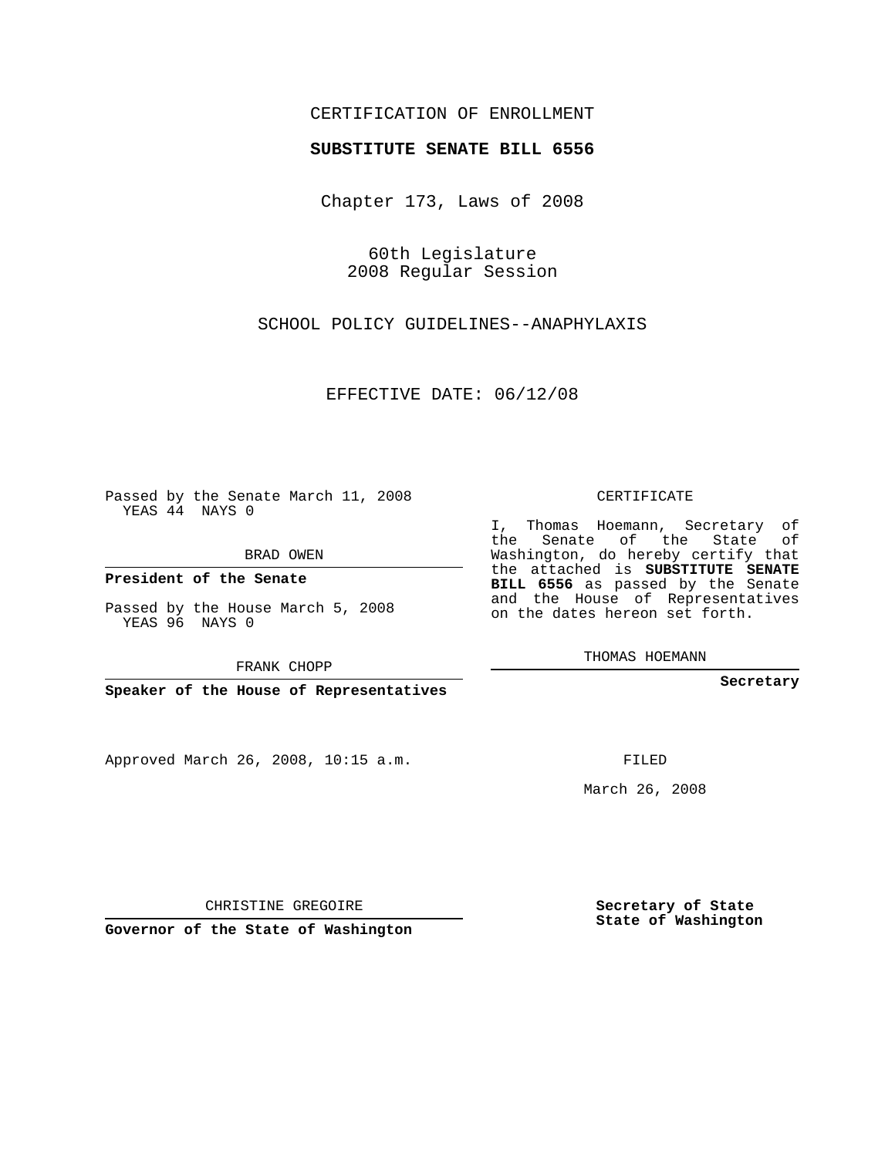## CERTIFICATION OF ENROLLMENT

## **SUBSTITUTE SENATE BILL 6556**

Chapter 173, Laws of 2008

60th Legislature 2008 Regular Session

SCHOOL POLICY GUIDELINES--ANAPHYLAXIS

EFFECTIVE DATE: 06/12/08

Passed by the Senate March 11, 2008 YEAS 44 NAYS 0

BRAD OWEN

**President of the Senate**

Passed by the House March 5, 2008 YEAS 96 NAYS 0

FRANK CHOPP

**Speaker of the House of Representatives**

Approved March 26, 2008, 10:15 a.m.

CERTIFICATE

I, Thomas Hoemann, Secretary of the Senate of the State of Washington, do hereby certify that the attached is **SUBSTITUTE SENATE BILL 6556** as passed by the Senate and the House of Representatives on the dates hereon set forth.

THOMAS HOEMANN

**Secretary**

FILED

March 26, 2008

**Secretary of State State of Washington**

CHRISTINE GREGOIRE

**Governor of the State of Washington**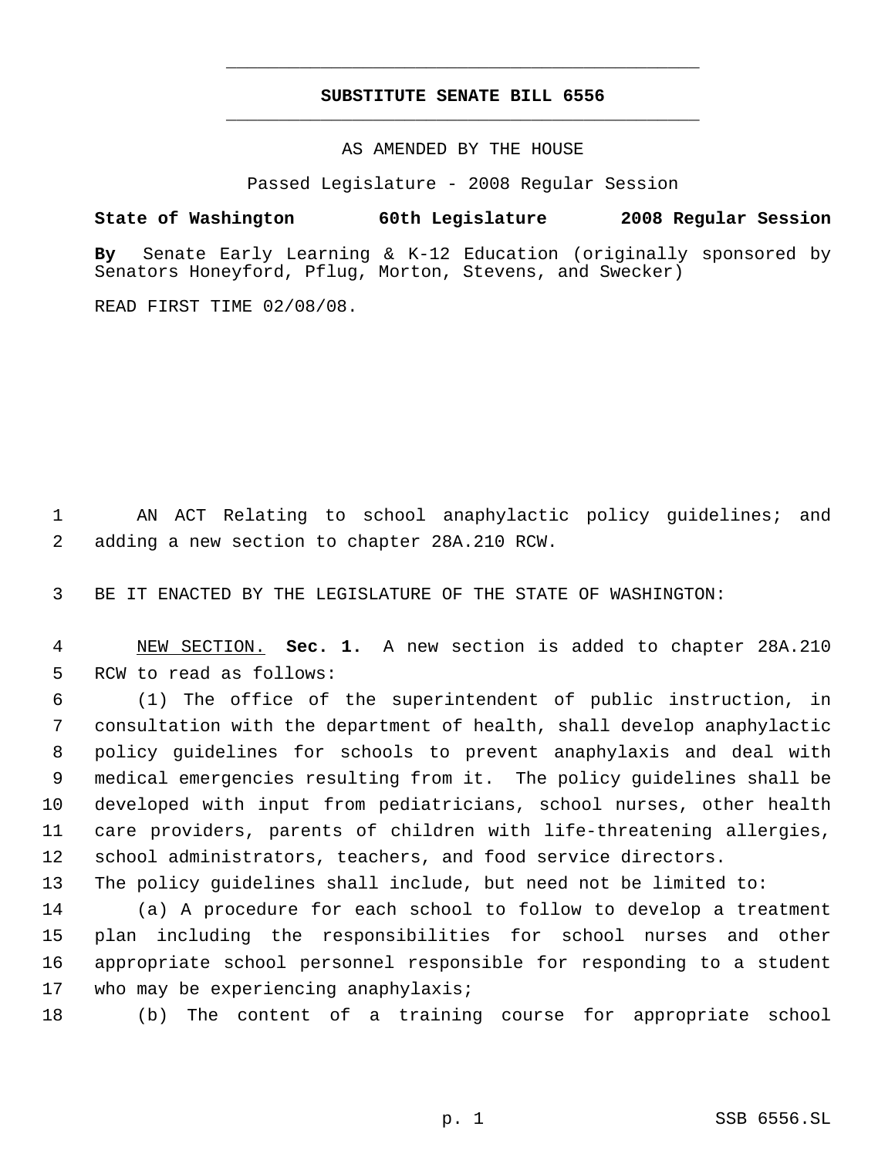## **SUBSTITUTE SENATE BILL 6556** \_\_\_\_\_\_\_\_\_\_\_\_\_\_\_\_\_\_\_\_\_\_\_\_\_\_\_\_\_\_\_\_\_\_\_\_\_\_\_\_\_\_\_\_\_

\_\_\_\_\_\_\_\_\_\_\_\_\_\_\_\_\_\_\_\_\_\_\_\_\_\_\_\_\_\_\_\_\_\_\_\_\_\_\_\_\_\_\_\_\_

AS AMENDED BY THE HOUSE

Passed Legislature - 2008 Regular Session

**State of Washington 60th Legislature 2008 Regular Session By** Senate Early Learning & K-12 Education (originally sponsored by Senators Honeyford, Pflug, Morton, Stevens, and Swecker)

READ FIRST TIME 02/08/08.

 AN ACT Relating to school anaphylactic policy guidelines; and adding a new section to chapter 28A.210 RCW.

BE IT ENACTED BY THE LEGISLATURE OF THE STATE OF WASHINGTON:

 NEW SECTION. **Sec. 1.** A new section is added to chapter 28A.210 RCW to read as follows:

 (1) The office of the superintendent of public instruction, in consultation with the department of health, shall develop anaphylactic policy guidelines for schools to prevent anaphylaxis and deal with medical emergencies resulting from it. The policy guidelines shall be developed with input from pediatricians, school nurses, other health care providers, parents of children with life-threatening allergies, school administrators, teachers, and food service directors.

The policy guidelines shall include, but need not be limited to:

 (a) A procedure for each school to follow to develop a treatment plan including the responsibilities for school nurses and other appropriate school personnel responsible for responding to a student who may be experiencing anaphylaxis;

(b) The content of a training course for appropriate school